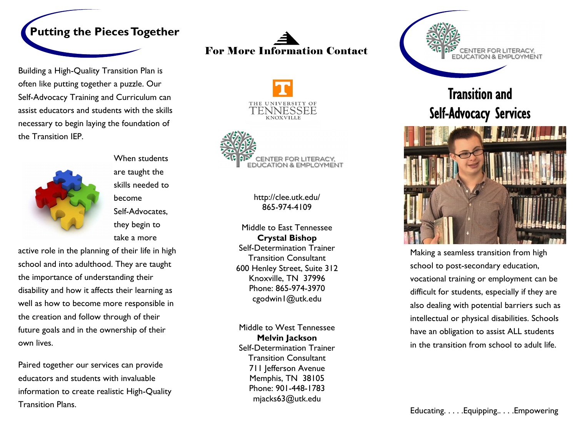

Building a High-Quality Transition Plan is often like putting together a puzzle. Our Self-Advocacy Training and Curriculum can assist educators and students with the skills necessary to begin laying the foundation of the Transition IEP.



When students are taught the skills needed to become Self-Advocates, they begin to take a more

active role in the planning of their life in high school and into adulthood. They are taught the importance of understanding their disability and how it affects their learning as well as how to become more responsible in the creation and follow through of their future goals and in the ownership of their own lives.

Paired together our services can provide educators and students with invaluable information to create realistic High-Quality Transition Plans.

# For More Information Contact





http://clee.utk.edu/ 865-974-4109

Middle to East Tennessee **Crystal Bishop**  Self-Determination Trainer Transition Consultant 600 Henley Street, Suite 312 Knoxville, TN 37996 Phone: 865-974-3970 cgodwin1@utk.edu

Middle to West Tennessee **Melvin Jackson** Self-Determination Trainer Transition Consultant 711 Jefferson Avenue Memphis, TN 38105 Phone: 901-448-1783 mjacks63@utk.edu



## Transition and Self-Advocacy Services



Making a seamless transition from high school to post-secondary education, vocational training or employment can be difficult for students, especially if they are also dealing with potential barriers such as intellectual or physical disabilities. Schools have an obligation to assist ALL students in the transition from school to adult life.